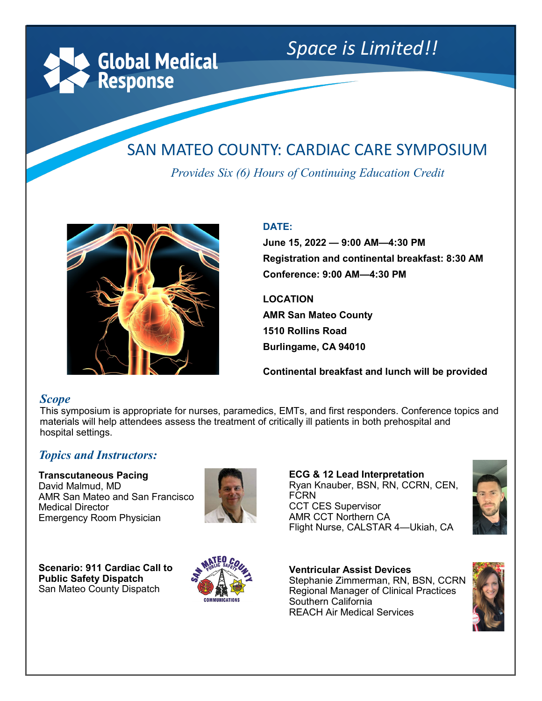**Global Medical Response** 

# *Space is Limited!!*

# SAN MATEO COUNTY: CARDIAC CARE SYMPOSIUM

*Provides Six (6) Hours of Continuing Education Credit*



#### **DATE:**

**June 15, 2022 — 9:00 AM—4:30 PM Registration and continental breakfast: 8:30 AM Conference: 9:00 AM—4:30 PM**

**LOCATION**

**AMR San Mateo County 1510 Rollins Road Burlingame, CA 94010**

**Continental breakfast and lunch will be provided**

#### *Scope*

This symposium is appropriate for nurses, paramedics, EMTs, and first responders. Conference topics and materials will help attendees assess the treatment of critically ill patients in both prehospital and hospital settings.

#### *Topics and Instructors:*

**Transcutaneous Pacing**  David Malmud, MD AMR San Mateo and San Francisco Medical Director Emergency Room Physician



**ECG & 12 Lead Interpretation** Ryan Knauber, BSN, RN, CCRN, CEN, **FCRN** CCT CES Supervisor AMR CCT Northern CA Flight Nurse, CALSTAR 4—Ukiah, CA



**Scenario: 911 Cardiac Call to Public Safety Dispatch**  San Mateo County Dispatch



**Ventricular Assist Devices** Stephanie Zimmerman, RN, BSN, CCRN Regional Manager of Clinical Practices Southern California REACH Air Medical Services